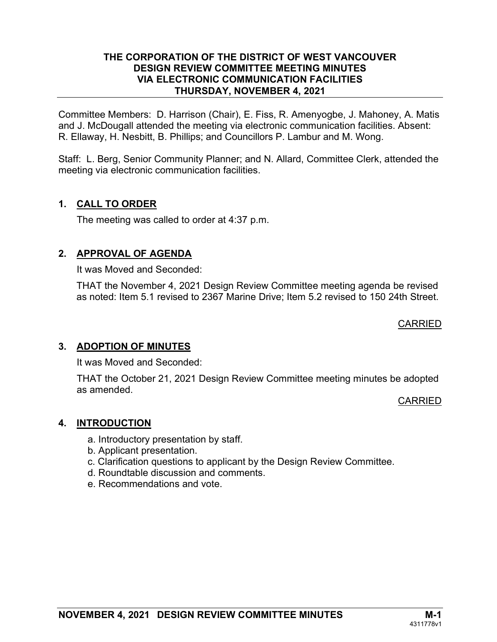#### THE CORPORATION OF THE DISTRICT OF WEST VANCOUVER DESIGN REVIEW COMMITTEE MEETING MINUTES VIA ELECTRONIC COMMUNICATION FACILITIES THURSDAY, NOVEMBER 4, 2021

Committee Members: D. Harrison (Chair), E. Fiss, R. Amenyogbe, J. Mahoney, A. Matis and J. McDougall attended the meeting via electronic communication facilities. Absent: R. Ellaway, H. Nesbitt, B. Phillips; and Councillors P. Lambur and M. Wong.

Staff: L. Berg, Senior Community Planner; and N. Allard, Committee Clerk, attended the meeting via electronic communication facilities.

# 1. CALL TO ORDER

The meeting was called to order at 4:37 p.m.

# 2. APPROVAL OF AGENDA

It was Moved and Seconded:

THAT the November 4, 2021 Design Review Committee meeting agenda be revised as noted: Item 5.1 revised to 2367 Marine Drive; Item 5.2 revised to 150 24th Street.

CARRIED

# 3. ADOPTION OF MINUTES

It was Moved and Seconded:

THAT the October 21, 2021 Design Review Committee meeting minutes be adopted as amended.

CARRIED

# 4. INTRODUCTION

- a. Introductory presentation by staff.
- b. Applicant presentation.
- c. Clarification questions to applicant by the Design Review Committee.
- d. Roundtable discussion and comments.
- e. Recommendations and vote.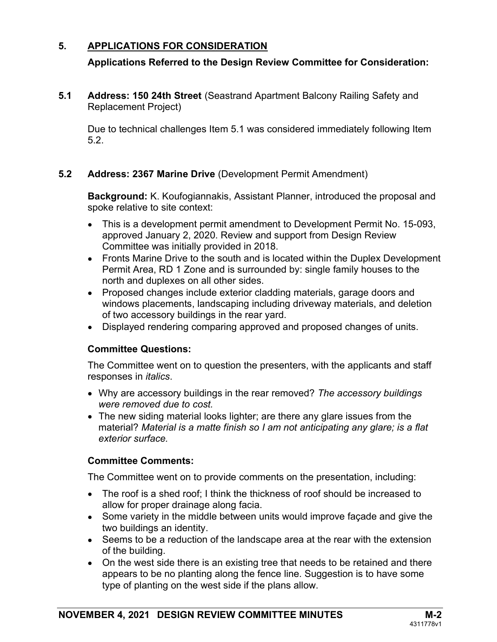# 5. APPLICATIONS FOR CONSIDERATION

# Applications Referred to the Design Review Committee for Consideration:

5.1 Address: 150 24th Street (Seastrand Apartment Balcony Railing Safety and Replacement Project)

Due to technical challenges Item 5.1 was considered immediately following Item 5.2.

#### 5.2 Address: 2367 Marine Drive (Development Permit Amendment)

Background: K. Koufogiannakis, Assistant Planner, introduced the proposal and spoke relative to site context:

- This is a development permit amendment to Development Permit No. 15-093, approved January 2, 2020. Review and support from Design Review Committee was initially provided in 2018.
- Fronts Marine Drive to the south and is located within the Duplex Development Permit Area, RD 1 Zone and is surrounded by: single family houses to the north and duplexes on all other sides.
- Proposed changes include exterior cladding materials, garage doors and windows placements, landscaping including driveway materials, and deletion of two accessory buildings in the rear yard.
- Displayed rendering comparing approved and proposed changes of units.

#### Committee Questions:

The Committee went on to question the presenters, with the applicants and staff responses in *italics*.

- Why are accessory buildings in the rear removed? The accessory buildings were removed due to cost.
- The new siding material looks lighter; are there any glare issues from the material? Material is a matte finish so I am not anticipating any glare; is a flat exterior surface.

# Committee Comments:

The Committee went on to provide comments on the presentation, including:

- The roof is a shed roof; I think the thickness of roof should be increased to allow for proper drainage along facia.
- Some variety in the middle between units would improve façade and give the two buildings an identity.
- Seems to be a reduction of the landscape area at the rear with the extension of the building.
- On the west side there is an existing tree that needs to be retained and there appears to be no planting along the fence line. Suggestion is to have some type of planting on the west side if the plans allow.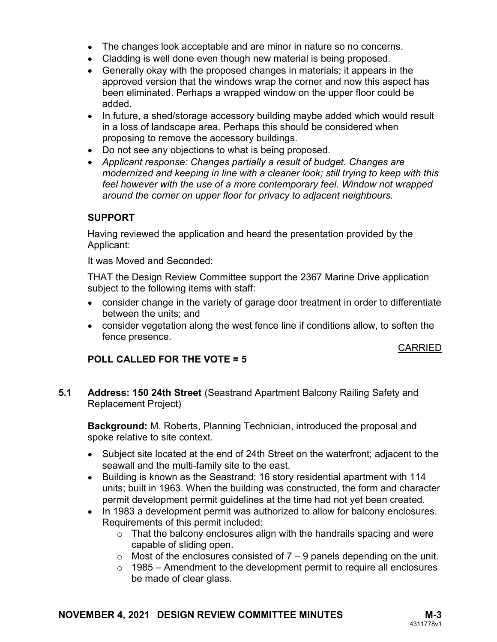- The changes look acceptable and are minor in nature so no concerns.
- Cladding is well done even though new material is being proposed.
- Generally okay with the proposed changes in materials; it appears in the approved version that the windows wrap the corner and now this aspect has been eliminated. Perhaps a wrapped window on the upper floor could be added.
- In future, a shed/storage accessory building maybe added which would result in a loss of landscape area. Perhaps this should be considered when proposing to remove the accessory buildings.
- Do not see any objections to what is being proposed.
- Applicant response: Changes partially a result of budget. Changes are modernized and keeping in line with a cleaner look; still trying to keep with this feel however with the use of a more contemporary feel. Window not wrapped around the corner on upper floor for privacy to adjacent neighbours.

# SUPPORT

Having reviewed the application and heard the presentation provided by the Applicant:

It was Moved and Seconded:

 THAT the Design Review Committee support the 2367 Marine Drive application subject to the following items with staff:

- consider change in the variety of garage door treatment in order to differentiate between the units; and
- consider vegetation along the west fence line if conditions allow, to soften the fence presence.

#### CARRIED

# POLL CALLED FOR THE VOTE = 5

5.1 Address: 150 24th Street (Seastrand Apartment Balcony Railing Safety and Replacement Project)

Background: M. Roberts, Planning Technician, introduced the proposal and spoke relative to site context.

- Subject site located at the end of 24th Street on the waterfront; adjacent to the seawall and the multi-family site to the east.
- Building is known as the Seastrand; 16 story residential apartment with 114 units; built in 1963. When the building was constructed, the form and character permit development permit guidelines at the time had not yet been created.
- In 1983 a development permit was authorized to allow for balcony enclosures. Requirements of this permit included:
	- $\circ$  That the balcony enclosures align with the handrails spacing and were capable of sliding open.
	- $\circ$  Most of the enclosures consisted of  $7 9$  panels depending on the unit.
	- $\circ$  1985 Amendment to the development permit to require all enclosures be made of clear glass.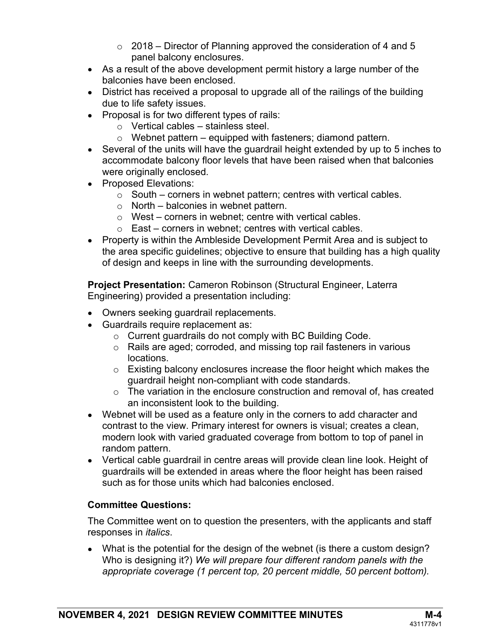- $\circ$  2018 Director of Planning approved the consideration of 4 and 5 panel balcony enclosures.
- As a result of the above development permit history a large number of the balconies have been enclosed.
- District has received a proposal to upgrade all of the railings of the building due to life safety issues.
- Proposal is for two different types of rails:
	- $\circ$  Vertical cables stainless steel.
	- $\circ$  Webnet pattern equipped with fasteners; diamond pattern.
- Several of the units will have the guardrail height extended by up to 5 inches to accommodate balcony floor levels that have been raised when that balconies were originally enclosed.
- Proposed Elevations:
	- $\circ$  South corners in webnet pattern; centres with vertical cables.
	- $\circ$  North balconies in webnet pattern.
	- $\circ$  West corners in webnet; centre with vertical cables.
	- $\circ$  East corners in webnet; centres with vertical cables.
- Property is within the Ambleside Development Permit Area and is subject to the area specific guidelines; objective to ensure that building has a high quality of design and keeps in line with the surrounding developments.

Project Presentation: Cameron Robinson (Structural Engineer, Laterra Engineering) provided a presentation including:

- Owners seeking guardrail replacements.
- Guardrails require replacement as:
	- o Current guardrails do not comply with BC Building Code.
	- o Rails are aged; corroded, and missing top rail fasteners in various locations.
	- $\circ$  Existing balcony enclosures increase the floor height which makes the guardrail height non-compliant with code standards.
	- o The variation in the enclosure construction and removal of, has created an inconsistent look to the building.
- Webnet will be used as a feature only in the corners to add character and contrast to the view. Primary interest for owners is visual; creates a clean, modern look with varied graduated coverage from bottom to top of panel in random pattern.
- Vertical cable guardrail in centre areas will provide clean line look. Height of guardrails will be extended in areas where the floor height has been raised such as for those units which had balconies enclosed.

# Committee Questions:

The Committee went on to question the presenters, with the applicants and staff responses in *italics*.

 What is the potential for the design of the webnet (is there a custom design? Who is designing it?) We will prepare four different random panels with the appropriate coverage (1 percent top, 20 percent middle, 50 percent bottom).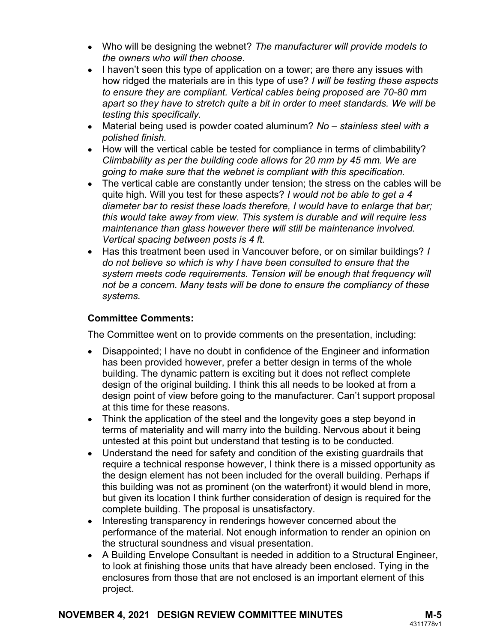- Who will be designing the webnet? The manufacturer will provide models to the owners who will then choose.
- $\bullet$  I haven't seen this type of application on a tower; are there any issues with how ridged the materials are in this type of use? I will be testing these aspects to ensure they are compliant. Vertical cables being proposed are 70-80 mm apart so they have to stretch quite a bit in order to meet standards. We will be testing this specifically.
- Material being used is powder coated aluminum? No  $-$  stainless steel with a polished finish.
- How will the vertical cable be tested for compliance in terms of climbability? Climbability as per the building code allows for 20 mm by 45 mm. We are going to make sure that the webnet is compliant with this specification.
- The vertical cable are constantly under tension; the stress on the cables will be quite high. Will you test for these aspects? I would not be able to get a 4 diameter bar to resist these loads therefore, I would have to enlarge that bar; this would take away from view. This system is durable and will require less maintenance than glass however there will still be maintenance involved. Vertical spacing between posts is 4 ft.
- Has this treatment been used in Vancouver before, or on similar buildings? I do not believe so which is why I have been consulted to ensure that the system meets code requirements. Tension will be enough that frequency will not be a concern. Many tests will be done to ensure the compliancy of these systems.

# Committee Comments:

The Committee went on to provide comments on the presentation, including:

- Disappointed; I have no doubt in confidence of the Engineer and information has been provided however, prefer a better design in terms of the whole building. The dynamic pattern is exciting but it does not reflect complete design of the original building. I think this all needs to be looked at from a design point of view before going to the manufacturer. Can't support proposal at this time for these reasons.
- Think the application of the steel and the longevity goes a step beyond in terms of materiality and will marry into the building. Nervous about it being untested at this point but understand that testing is to be conducted.
- Understand the need for safety and condition of the existing guardrails that require a technical response however, I think there is a missed opportunity as the design element has not been included for the overall building. Perhaps if this building was not as prominent (on the waterfront) it would blend in more, but given its location I think further consideration of design is required for the complete building. The proposal is unsatisfactory.
- Interesting transparency in renderings however concerned about the performance of the material. Not enough information to render an opinion on the structural soundness and visual presentation.
- A Building Envelope Consultant is needed in addition to a Structural Engineer, to look at finishing those units that have already been enclosed. Tying in the enclosures from those that are not enclosed is an important element of this project.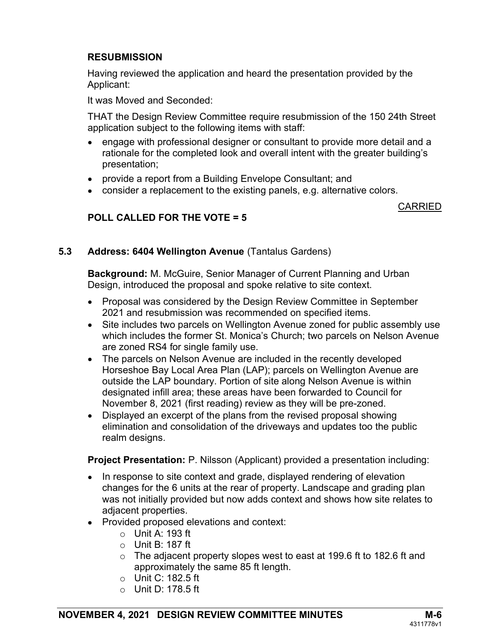# **RESUBMISSION**

Having reviewed the application and heard the presentation provided by the Applicant:

It was Moved and Seconded:

 THAT the Design Review Committee require resubmission of the 150 24th Street application subject to the following items with staff:

- engage with professional designer or consultant to provide more detail and a rationale for the completed look and overall intent with the greater building's presentation;
- provide a report from a Building Envelope Consultant; and
- consider a replacement to the existing panels, e.g. alternative colors.

#### CARRIED

# POLL CALLED FOR THE VOTE = 5

# 5.3 Address: 6404 Wellington Avenue (Tantalus Gardens)

Background: M. McGuire, Senior Manager of Current Planning and Urban Design, introduced the proposal and spoke relative to site context.

- Proposal was considered by the Design Review Committee in September 2021 and resubmission was recommended on specified items.
- Site includes two parcels on Wellington Avenue zoned for public assembly use which includes the former St. Monica's Church: two parcels on Nelson Avenue are zoned RS4 for single family use.
- The parcels on Nelson Avenue are included in the recently developed Horseshoe Bay Local Area Plan (LAP); parcels on Wellington Avenue are outside the LAP boundary. Portion of site along Nelson Avenue is within designated infill area; these areas have been forwarded to Council for November 8, 2021 (first reading) review as they will be pre-zoned.
- Displayed an excerpt of the plans from the revised proposal showing elimination and consolidation of the driveways and updates too the public realm designs.

**Project Presentation:** P. Nilsson (Applicant) provided a presentation including:

- In response to site context and grade, displayed rendering of elevation changes for the 6 units at the rear of property. Landscape and grading plan was not initially provided but now adds context and shows how site relates to adjacent properties.
- Provided proposed elevations and context:
	- $\circ$  Unit A: 193 ft
	- o Unit B: 187 ft
	- $\circ$  The adjacent property slopes west to east at 199.6 ft to 182.6 ft and approximately the same 85 ft length.
	- $\circ$  Unit C: 182.5 ft
	- o Unit D: 178.5 ft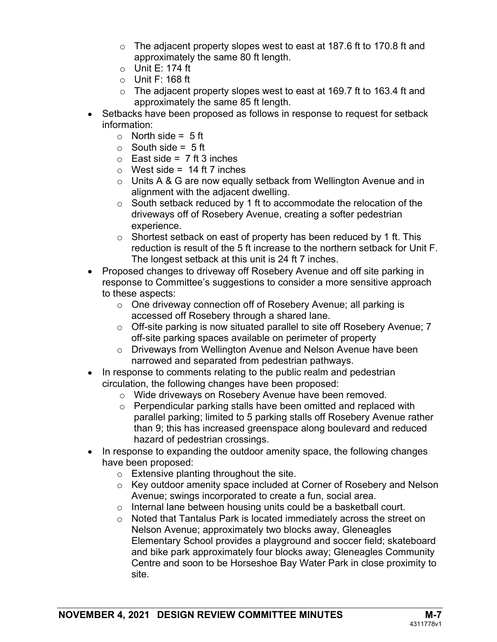- o The adjacent property slopes west to east at 187.6 ft to 170.8 ft and approximately the same 80 ft length.
- $\circ$  Unit E: 174 ft
- $\circ$  Unit F: 168 ft
- $\circ$  The adjacent property slopes west to east at 169.7 ft to 163.4 ft and approximately the same 85 ft length.
- Setbacks have been proposed as follows in response to request for setback information:
	- $\circ$  North side = 5 ft
	- $\circ$  South side = 5 ft
	- $\circ$  East side = 7 ft 3 inches
	- $\circ$  West side = 14 ft 7 inches
	- $\circ$  Units A & G are now equally setback from Wellington Avenue and in alignment with the adjacent dwelling.
	- o South setback reduced by 1 ft to accommodate the relocation of the driveways off of Rosebery Avenue, creating a softer pedestrian experience.
	- $\circ$  Shortest setback on east of property has been reduced by 1 ft. This reduction is result of the 5 ft increase to the northern setback for Unit F. The longest setback at this unit is 24 ft 7 inches.
- Proposed changes to driveway off Rosebery Avenue and off site parking in response to Committee's suggestions to consider a more sensitive approach to these aspects:
	- o One driveway connection off of Rosebery Avenue; all parking is accessed off Rosebery through a shared lane.
	- o Off-site parking is now situated parallel to site off Rosebery Avenue; 7 off-site parking spaces available on perimeter of property
	- o Driveways from Wellington Avenue and Nelson Avenue have been narrowed and separated from pedestrian pathways.
- In response to comments relating to the public realm and pedestrian circulation, the following changes have been proposed:
	- o Wide driveways on Rosebery Avenue have been removed.
	- o Perpendicular parking stalls have been omitted and replaced with parallel parking; limited to 5 parking stalls off Rosebery Avenue rather than 9; this has increased greenspace along boulevard and reduced hazard of pedestrian crossings.
- In response to expanding the outdoor amenity space, the following changes have been proposed:
	- $\circ$  Extensive planting throughout the site.
	- o Key outdoor amenity space included at Corner of Rosebery and Nelson Avenue; swings incorporated to create a fun, social area.
	- o Internal lane between housing units could be a basketball court.
	- o Noted that Tantalus Park is located immediately across the street on Nelson Avenue; approximately two blocks away, Gleneagles Elementary School provides a playground and soccer field; skateboard and bike park approximately four blocks away; Gleneagles Community Centre and soon to be Horseshoe Bay Water Park in close proximity to site.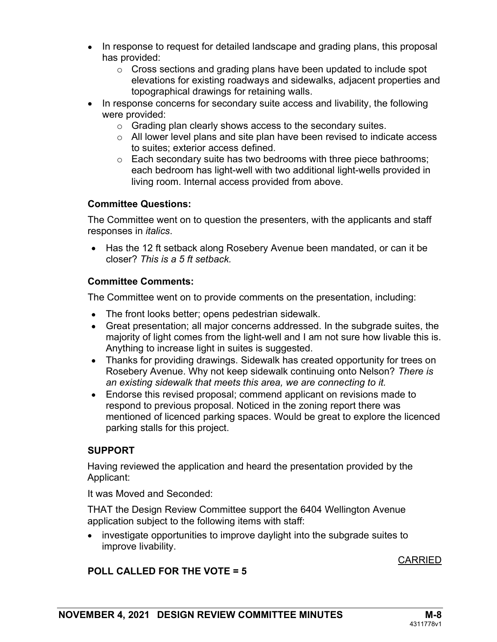- In response to request for detailed landscape and grading plans, this proposal has provided:
	- $\circ$  Cross sections and grading plans have been updated to include spot elevations for existing roadways and sidewalks, adjacent properties and topographical drawings for retaining walls.
- In response concerns for secondary suite access and livability, the following were provided:
	- $\circ$  Grading plan clearly shows access to the secondary suites.
	- o All lower level plans and site plan have been revised to indicate access to suites; exterior access defined.
	- $\circ$  Each secondary suite has two bedrooms with three piece bathrooms; each bedroom has light-well with two additional light-wells provided in living room. Internal access provided from above.

#### Committee Questions:

The Committee went on to question the presenters, with the applicants and staff responses in *italics*.

• Has the 12 ft setback along Rosebery Avenue been mandated, or can it be closer? This is a 5 ft setback.

#### Committee Comments:

The Committee went on to provide comments on the presentation, including:

- The front looks better; opens pedestrian sidewalk.
- Great presentation; all major concerns addressed. In the subgrade suites, the majority of light comes from the light-well and I am not sure how livable this is. Anything to increase light in suites is suggested.
- Thanks for providing drawings. Sidewalk has created opportunity for trees on Rosebery Avenue. Why not keep sidewalk continuing onto Nelson? There is an existing sidewalk that meets this area, we are connecting to it.
- Endorse this revised proposal; commend applicant on revisions made to respond to previous proposal. Noticed in the zoning report there was mentioned of licenced parking spaces. Would be great to explore the licenced parking stalls for this project.

# SUPPORT

Having reviewed the application and heard the presentation provided by the Applicant:

It was Moved and Seconded:

 THAT the Design Review Committee support the 6404 Wellington Avenue application subject to the following items with staff:

• investigate opportunities to improve daylight into the subgrade suites to improve livability.

#### CARRIED

# POLL CALLED FOR THE VOTE = 5